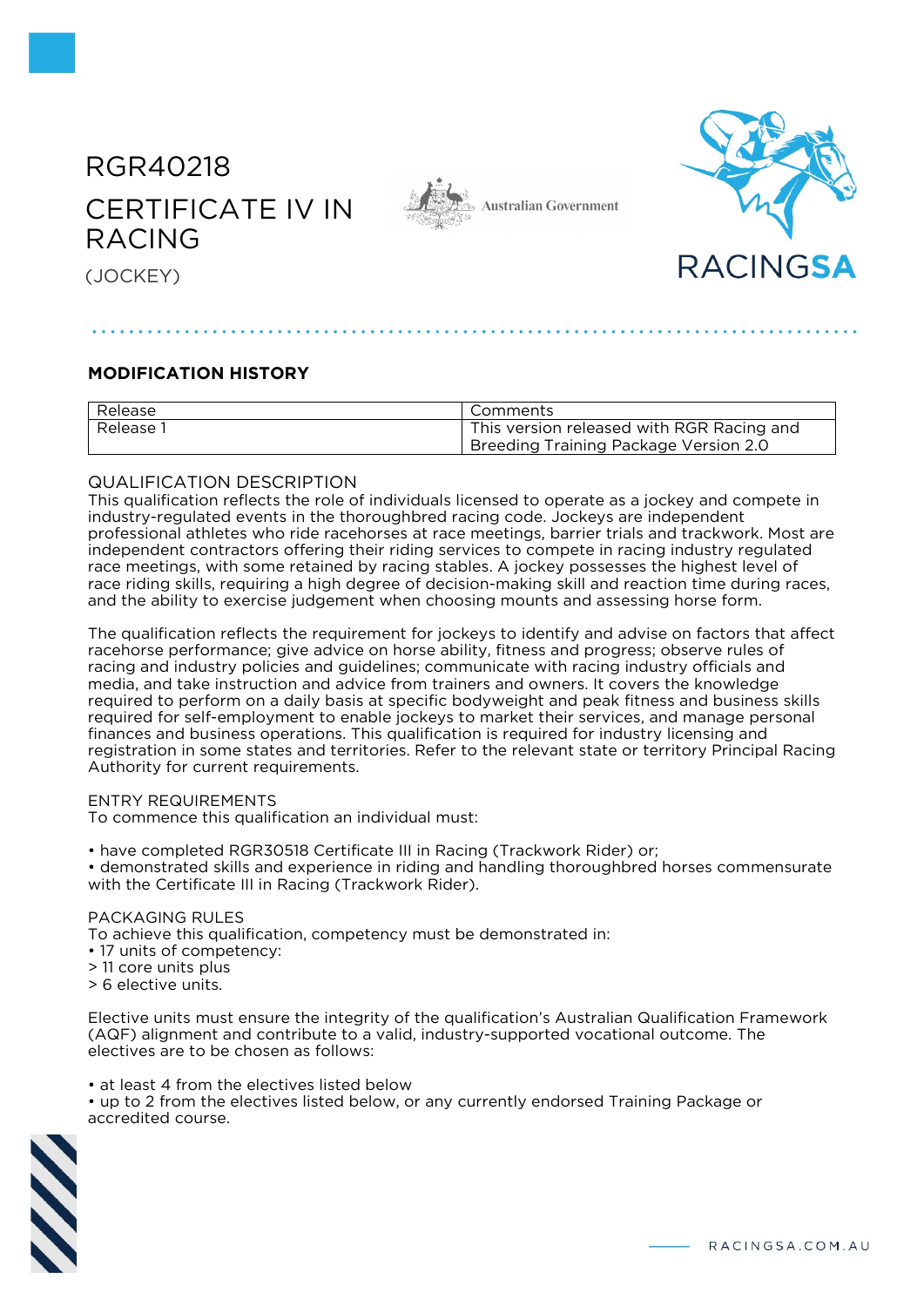# RGR40218 CERTIFICATE IV IN RACING







(JOCKEY)

## **MODIFICATION HISTORY**

| Release   | Comments                                                                                  |
|-----------|-------------------------------------------------------------------------------------------|
| Release i | This version released with RGR Racing and<br><b>Breeding Training Package Version 2.0</b> |

### QUALIFICATION DESCRIPTION

This qualification reflects the role of individuals licensed to operate as a jockey and compete in industry-regulated events in the thoroughbred racing code. Jockeys are independent professional athletes who ride racehorses at race meetings, barrier trials and trackwork. Most are independent contractors offering their riding services to compete in racing industry regulated race meetings, with some retained by racing stables. A jockey possesses the highest level of race riding skills, requiring a high degree of decision-making skill and reaction time during races, and the ability to exercise judgement when choosing mounts and assessing horse form.

The qualification reflects the requirement for jockeys to identify and advise on factors that affect racehorse performance; give advice on horse ability, fitness and progress; observe rules of racing and industry policies and guidelines; communicate with racing industry officials and media, and take instruction and advice from trainers and owners. It covers the knowledge required to perform on a daily basis at specific bodyweight and peak fitness and business skills required for self-employment to enable jockeys to market their services, and manage personal finances and business operations. This qualification is required for industry licensing and registration in some states and territories. Refer to the relevant state or territory Principal Racing Authority for current requirements.

#### ENTRY REQUIREMENTS

To commence this qualification an individual must:

• have completed RGR30518 Certificate III in Racing (Trackwork Rider) or;

• demonstrated skills and experience in riding and handling thoroughbred horses commensurate with the Certificate III in Racing (Trackwork Rider).

#### PACKAGING RULES

To achieve this qualification, competency must be demonstrated in:

- 17 units of competency:
- > 11 core units plus

> 6 elective units.

Elective units must ensure the integrity of the qualification's Australian Qualification Framework (AQF) alignment and contribute to a valid, industry-supported vocational outcome. The electives are to be chosen as follows:

- at least 4 from the electives listed below
- up to 2 from the electives listed below, or any currently endorsed Training Package or accredited course.



- RACINGSA.COM.AU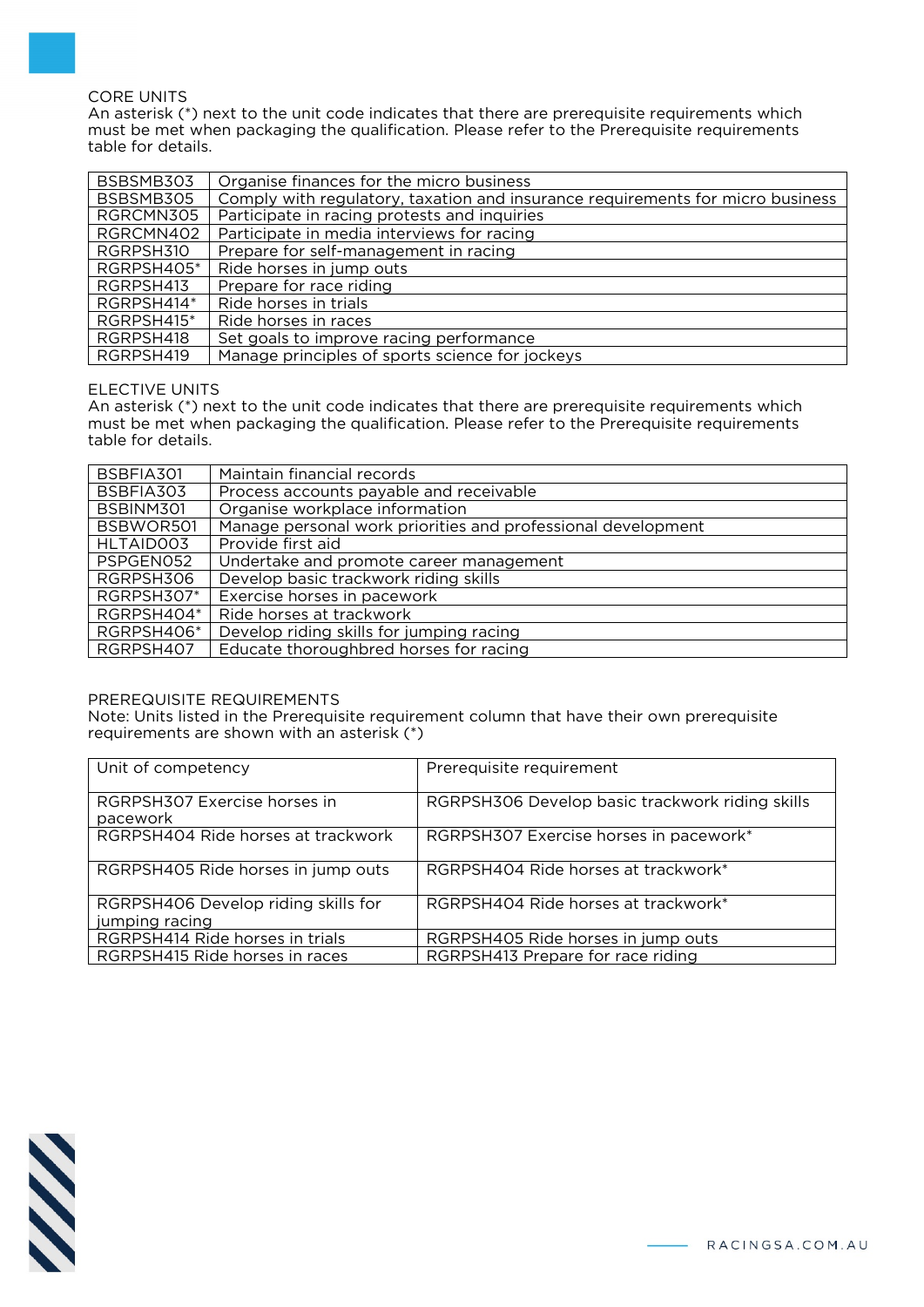#### CORE UNITS

An asterisk (\*) next to the unit code indicates that there are prerequisite requirements which must be met when packaging the qualification. Please refer to the Prerequisite requirements table for details.

| BSBSMB303  | Organise finances for the micro business                                       |
|------------|--------------------------------------------------------------------------------|
| BSBSMB305  | Comply with regulatory, taxation and insurance requirements for micro business |
| RGRCMN305  | Participate in racing protests and inquiries                                   |
| RGRCMN402  | Participate in media interviews for racing                                     |
| RGRPSH310  | Prepare for self-management in racing                                          |
| RGRPSH405* | Ride horses in jump outs                                                       |
| RGRPSH413  | Prepare for race riding                                                        |
| RGRPSH414* | Ride horses in trials                                                          |
| RGRPSH415* | Ride horses in races                                                           |
| RGRPSH418  | Set goals to improve racing performance                                        |
| RGRPSH419  | Manage principles of sports science for jockeys                                |

#### ELECTIVE UNITS

An asterisk (\*) next to the unit code indicates that there are prerequisite requirements which must be met when packaging the qualification. Please refer to the Prerequisite requirements table for details.

| BSBFIA301  | Maintain financial records                                   |
|------------|--------------------------------------------------------------|
| BSBFIA303  | Process accounts payable and receivable                      |
| BSBINM301  | Organise workplace information                               |
| BSBWOR501  | Manage personal work priorities and professional development |
| HLTAID003  | Provide first aid                                            |
| PSPGEN052  | Undertake and promote career management                      |
| RGRPSH306  | Develop basic trackwork riding skills                        |
| RGRPSH307* | Exercise horses in pacework                                  |
| RGRPSH404* | Ride horses at trackwork                                     |
| RGRPSH406* | Develop riding skills for jumping racing                     |
| RGRPSH407  | Educate thoroughbred horses for racing                       |

#### PREREQUISITE REQUIREMENTS

Note: Units listed in the Prerequisite requirement column that have their own prerequisite requirements are shown with an asterisk (\*)

| Unit of competency                                    | Prerequisite requirement                        |
|-------------------------------------------------------|-------------------------------------------------|
| RGRPSH307 Exercise horses in<br>pacework              | RGRPSH306 Develop basic trackwork riding skills |
| RGRPSH404 Ride horses at trackwork                    | RGRPSH307 Exercise horses in pacework*          |
| RGRPSH405 Ride horses in jump outs                    | RGRPSH404 Ride horses at trackwork*             |
| RGRPSH406 Develop riding skills for<br>jumping racing | RGRPSH404 Ride horses at trackwork*             |
| RGRPSH414 Ride horses in trials                       | RGRPSH405 Ride horses in jump outs              |
| RGRPSH415 Ride horses in races                        | RGRPSH413 Prepare for race riding               |